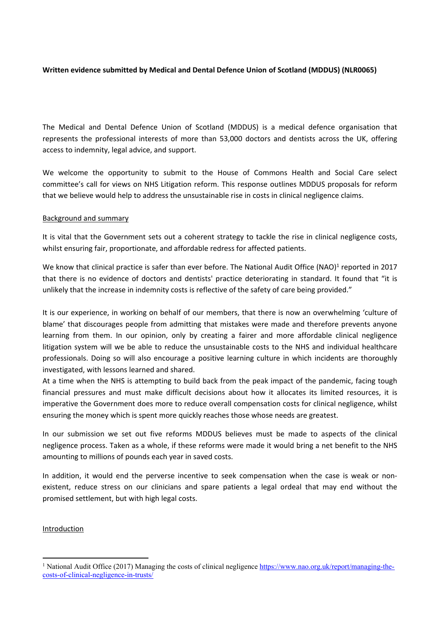# **Written evidence submitted by Medical and Dental Defence Union of Scotland (MDDUS) (NLR0065)**

The Medical and Dental Defence Union of Scotland (MDDUS) is a medical defence organisation that represents the professional interests of more than 53,000 doctors and dentists across the UK, offering access to indemnity, legal advice, and support.

We welcome the opportunity to submit to the House of Commons Health and Social Care select committee's call for views on NHS Litigation reform. This response outlines MDDUS proposals for reform that we believe would help to address the unsustainable rise in costs in clinical negligence claims.

### Background and summary

It is vital that the Government sets out a coherent strategy to tackle the rise in clinical negligence costs, whilst ensuring fair, proportionate, and affordable redress for affected patients.

We know that clinical practice is safer than ever before. The National Audit Office (NAO)<sup>1</sup> reported in 2017 that there is no evidence of doctors and dentists' practice deteriorating in standard. It found that "it is unlikely that the increase in indemnity costs is reflective of the safety of care being provided."

It is our experience, in working on behalf of our members, that there is now an overwhelming 'culture of blame' that discourages people from admitting that mistakes were made and therefore prevents anyone learning from them. In our opinion, only by creating a fairer and more affordable clinical negligence litigation system will we be able to reduce the unsustainable costs to the NHS and individual healthcare professionals. Doing so will also encourage a positive learning culture in which incidents are thoroughly investigated, with lessons learned and shared.

At a time when the NHS is attempting to build back from the peak impact of the pandemic, facing tough financial pressures and must make difficult decisions about how it allocates its limited resources, it is imperative the Government does more to reduce overall compensation costs for clinical negligence, whilst ensuring the money which is spent more quickly reaches those whose needs are greatest.

In our submission we set out five reforms MDDUS believes must be made to aspects of the clinical negligence process. Taken as a whole, if these reforms were made it would bring a net benefit to the NHS amounting to millions of pounds each year in saved costs.

In addition, it would end the perverse incentive to seek compensation when the case is weak or nonexistent, reduce stress on our clinicians and spare patients a legal ordeal that may end without the promised settlement, but with high legal costs.

# Introduction

<sup>&</sup>lt;sup>1</sup> National Audit Office (2017) Managing the costs of clinical negligence [https://www.nao.org.uk/report/managing-the](https://www.nao.org.uk/report/managing-the-costs-of-clinical-negligence-in-trusts/)[costs-of-clinical-negligence-in-trusts/](https://www.nao.org.uk/report/managing-the-costs-of-clinical-negligence-in-trusts/)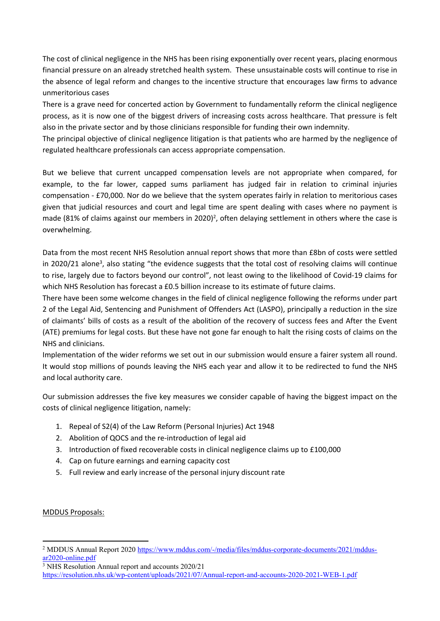The cost of clinical negligence in the NHS has been rising exponentially over recent years, placing enormous financial pressure on an already stretched health system. These unsustainable costs will continue to rise in the absence of legal reform and changes to the incentive structure that encourages law firms to advance unmeritorious cases

There is a grave need for concerted action by Government to fundamentally reform the clinical negligence process, as it is now one of the biggest drivers of increasing costs across healthcare. That pressure is felt also in the private sector and by those clinicians responsible for funding their own indemnity.

The principal objective of clinical negligence litigation is that patients who are harmed by the negligence of regulated healthcare professionals can access appropriate compensation.

But we believe that current uncapped compensation levels are not appropriate when compared, for example, to the far lower, capped sums parliament has judged fair in relation to criminal injuries compensation - £70,000. Nor do we believe that the system operates fairly in relation to meritorious cases given that judicial resources and court and legal time are spent dealing with cases where no payment is made (81% of claims against our members in 2020)<sup>2</sup>, often delaying settlement in others where the case is overwhelming.

Data from the most recent NHS Resolution annual report shows that more than £8bn of costs were settled in 2020/21 alone<sup>3</sup>, also stating "the evidence suggests that the total cost of resolving claims will continue to rise, largely due to factors beyond our control", not least owing to the likelihood of Covid-19 claims for which NHS Resolution has forecast a £0.5 billion increase to its estimate of future claims.

There have been some welcome changes in the field of clinical negligence following the reforms under part 2 of the Legal Aid, Sentencing and Punishment of Offenders Act (LASPO), principally a reduction in the size of claimants' bills of costs as a result of the abolition of the recovery of success fees and After the Event (ATE) premiums for legal costs. But these have not gone far enough to halt the rising costs of claims on the NHS and clinicians.

Implementation of the wider reforms we set out in our submission would ensure a fairer system all round. It would stop millions of pounds leaving the NHS each year and allow it to be redirected to fund the NHS and local authority care.

Our submission addresses the five key measures we consider capable of having the biggest impact on the costs of clinical negligence litigation, namely:

- 1. Repeal of S2(4) of the Law Reform (Personal Injuries) Act 1948
- 2. Abolition of QOCS and the re-introduction of legal aid
- 3. Introduction of fixed recoverable costs in clinical negligence claims up to £100,000
- 4. Cap on future earnings and earning capacity cost
- 5. Full review and early increase of the personal injury discount rate

MDDUS Proposals:

<sup>2</sup> MDDUS Annual Report 2020 [https://www.mddus.com/-/media/files/mddus-corporate-documents/2021/mddus](https://www.mddus.com/-/media/files/mddus-corporate-documents/2021/mddus-ar2020-online.pdf)[ar2020-online.pdf](https://www.mddus.com/-/media/files/mddus-corporate-documents/2021/mddus-ar2020-online.pdf)

<sup>3</sup> NHS Resolution Annual report and accounts 2020/21 <https://resolution.nhs.uk/wp-content/uploads/2021/07/Annual-report-and-accounts-2020-2021-WEB-1.pdf>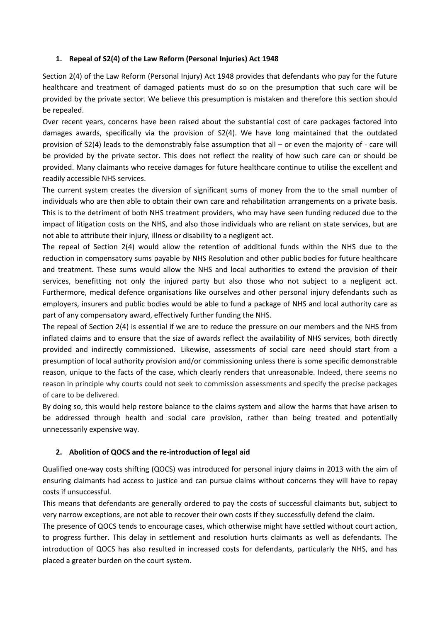# **1. Repeal of S2(4) of the Law Reform (Personal Injuries) Act 1948**

Section 2(4) of the Law Reform (Personal Injury) Act 1948 provides that defendants who pay for the future healthcare and treatment of damaged patients must do so on the presumption that such care will be provided by the private sector. We believe this presumption is mistaken and therefore this section should be repealed.

Over recent years, concerns have been raised about the substantial cost of care packages factored into damages awards, specifically via the provision of S2(4). We have long maintained that the outdated provision of S2(4) leads to the demonstrably false assumption that all – or even the majority of - care will be provided by the private sector. This does not reflect the reality of how such care can or should be provided. Many claimants who receive damages for future healthcare continue to utilise the excellent and readily accessible NHS services.

The current system creates the diversion of significant sums of money from the to the small number of individuals who are then able to obtain their own care and rehabilitation arrangements on a private basis. This is to the detriment of both NHS treatment providers, who may have seen funding reduced due to the impact of litigation costs on the NHS, and also those individuals who are reliant on state services, but are not able to attribute their injury, illness or disability to a negligent act.

The repeal of Section 2(4) would allow the retention of additional funds within the NHS due to the reduction in compensatory sums payable by NHS Resolution and other public bodies for future healthcare and treatment. These sums would allow the NHS and local authorities to extend the provision of their services, benefitting not only the injured party but also those who not subject to a negligent act. Furthermore, medical defence organisations like ourselves and other personal injury defendants such as employers, insurers and public bodies would be able to fund a package of NHS and local authority care as part of any compensatory award, effectively further funding the NHS.

The repeal of Section 2(4) is essential if we are to reduce the pressure on our members and the NHS from inflated claims and to ensure that the size of awards reflect the availability of NHS services, both directly provided and indirectly commissioned. Likewise, assessments of social care need should start from a presumption of local authority provision and/or commissioning unless there is some specific demonstrable reason, unique to the facts of the case, which clearly renders that unreasonable. Indeed, there seems no reason in principle why courts could not seek to commission assessments and specify the precise packages of care to be delivered.

By doing so, this would help restore balance to the claims system and allow the harms that have arisen to be addressed through health and social care provision, rather than being treated and potentially unnecessarily expensive way.

# **2. Abolition of QOCS and the re-introduction of legal aid**

Qualified one-way costs shifting (QOCS) was introduced for personal injury claims in 2013 with the aim of ensuring claimants had access to justice and can pursue claims without concerns they will have to repay costs if unsuccessful.

This means that defendants are generally ordered to pay the costs of successful claimants but, subject to very narrow exceptions, are not able to recover their own costs if they successfully defend the claim.

The presence of QOCS tends to encourage cases, which otherwise might have settled without court action, to progress further. This delay in settlement and resolution hurts claimants as well as defendants. The introduction of QOCS has also resulted in increased costs for defendants, particularly the NHS, and has placed a greater burden on the court system.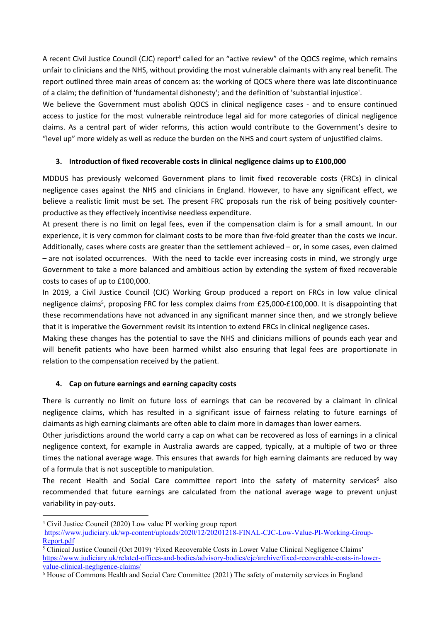A recent Civil Justice Council (CJC) report<sup>4</sup> called for an "active review" of the QOCS regime, which remains unfair to clinicians and the NHS, without providing the most vulnerable claimants with any real benefit. The report outlined three main areas of concern as: the working of QOCS where there was late discontinuance of a claim; the definition of 'fundamental dishonesty'; and the definition of 'substantial injustice'.

We believe the Government must abolish QOCS in clinical negligence cases - and to ensure continued access to justice for the most vulnerable reintroduce legal aid for more categories of clinical negligence claims. As a central part of wider reforms, this action would contribute to the Government's desire to "level up" more widely as well as reduce the burden on the NHS and court system of unjustified claims.

# **3. Introduction of fixed recoverable costs in clinical negligence claims up to £100,000**

MDDUS has previously welcomed Government plans to limit fixed recoverable costs (FRCs) in clinical negligence cases against the NHS and clinicians in England. However, to have any significant effect, we believe a realistic limit must be set. The present FRC proposals run the risk of being positively counterproductive as they effectively incentivise needless expenditure.

At present there is no limit on legal fees, even if the compensation claim is for a small amount. In our experience, it is very common for claimant costs to be more than five-fold greater than the costs we incur. Additionally, cases where costs are greater than the settlement achieved – or, in some cases, even claimed – are not isolated occurrences. With the need to tackle ever increasing costs in mind, we strongly urge Government to take a more balanced and ambitious action by extending the system of fixed recoverable costs to cases of up to £100,000.

In 2019, a Civil Justice Council (CJC) Working Group produced a report on FRCs in low value clinical negligence claims<sup>5</sup>, proposing FRC for less complex claims from £25,000-£100,000. It is disappointing that these recommendations have not advanced in any significant manner since then, and we strongly believe that it is imperative the Government revisit its intention to extend FRCs in clinical negligence cases.

Making these changes has the potential to save the NHS and clinicians millions of pounds each year and will benefit patients who have been harmed whilst also ensuring that legal fees are proportionate in relation to the compensation received by the patient.

# **4. Cap on future earnings and earning capacity costs**

There is currently no limit on future loss of earnings that can be recovered by a claimant in clinical negligence claims, which has resulted in a significant issue of fairness relating to future earnings of claimants as high earning claimants are often able to claim more in damages than lower earners.

Other jurisdictions around the world carry a cap on what can be recovered as loss of earnings in a clinical negligence context, for example in Australia awards are capped, typically, at a multiple of two or three times the national average wage. This ensures that awards for high earning claimants are reduced by way of a formula that is not susceptible to manipulation.

The recent Health and Social Care committee report into the safety of maternity services<sup>6</sup> also recommended that future earnings are calculated from the national average wage to prevent unjust variability in pay-outs.

<sup>4</sup> Civil Justice Council (2020) Low value PI working group report

[https://www.judiciary.uk/wp-content/uploads/2020/12/20201218-FINAL-CJC-Low-Value-PI-Working-Group-](https://www.judiciary.uk/wp-content/uploads/2020/12/20201218-FINAL-CJC-Low-Value-PI-Working-Group-Report.pdf)[Report.pdf](https://www.judiciary.uk/wp-content/uploads/2020/12/20201218-FINAL-CJC-Low-Value-PI-Working-Group-Report.pdf)

<sup>5</sup> Clinical Justice Council (Oct 2019) 'Fixed Recoverable Costs in Lower Value Clinical Negligence Claims' [https://www.judiciary.uk/related-offices-and-bodies/advisory-bodies/cjc/archive/fixed-recoverable-costs-in-lower](https://www.judiciary.uk/related-offices-and-bodies/advisory-bodies/cjc/archive/fixed-recoverable-costs-in-lower-value-clinical-negligence-claims/)[value-clinical-negligence-claims/](https://www.judiciary.uk/related-offices-and-bodies/advisory-bodies/cjc/archive/fixed-recoverable-costs-in-lower-value-clinical-negligence-claims/)

<sup>6</sup> House of Commons Health and Social Care Committee (2021) The safety of maternity services in England